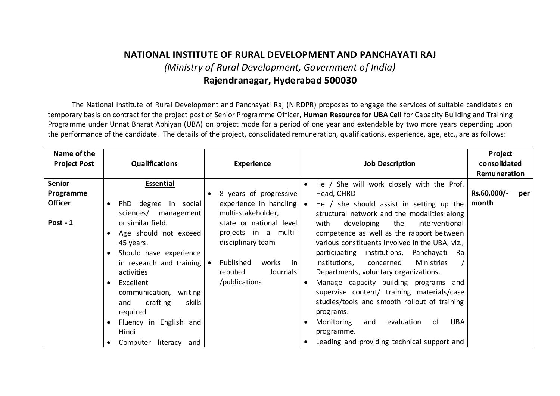# **NATIONAL INSTITUTE OF RURAL DEVELOPMENT AND PANCHAYATI RAJ** *(Ministry of Rural Development, Government of India)* **Rajendranagar, Hyderabad 500030**

The National Institute of Rural Development and Panchayati Raj (NIRDPR) proposes to engage the services of suitable candidates on temporary basis on contract for the project post of Senior Programme Officer**, Human Resource for UBA Cell** for Capacity Building and Training Programme under Unnat Bharat Abhiyan (UBA) on project mode for a period of one year and extendable by two more years depending upon the performance of the candidate. The details of the project, consolidated remuneration, qualifications, experience, age, etc., are as follows:

| Name of the         |                           |                                        |                                                         | Project            |
|---------------------|---------------------------|----------------------------------------|---------------------------------------------------------|--------------------|
| <b>Project Post</b> | <b>Qualifications</b>     | <b>Experience</b>                      | <b>Job Description</b>                                  | consolidated       |
|                     |                           |                                        |                                                         | Remuneration       |
| <b>Senior</b>       | Essential                 |                                        | He / She will work closely with the Prof.<br>$\bullet$  |                    |
| Programme           |                           | 8 years of progressive                 | Head, CHRD                                              | Rs.60,000/-<br>per |
| <b>Officer</b>      | PhD degree in social      | experience in handling                 | He $/$ she should assist in setting up the<br>$\bullet$ | month              |
|                     | sciences/ management      | multi-stakeholder,                     | structural network and the modalities along             |                    |
| Post - 1            | or similar field.         | state or national level                | developing<br>the<br>with<br>interventional             |                    |
|                     | Age should not exceed     | projects in a multi-                   | competence as well as the rapport between               |                    |
|                     | 45 years.                 | disciplinary team.                     | various constituents involved in the UBA, viz.,         |                    |
|                     | Should have experience    |                                        | participating institutions, Panchayati Ra               |                    |
|                     | in research and training  | Published<br>works<br>-in<br>$\bullet$ | Ministries<br>Institutions, concerned                   |                    |
|                     | activities                | reputed<br>Journals                    | Departments, voluntary organizations.                   |                    |
|                     | Excellent<br>$\bullet$    | /publications                          | Manage capacity building programs and                   |                    |
|                     | communication, writing    |                                        | supervise content/ training materials/case              |                    |
|                     | drafting<br>skills<br>and |                                        | studies/tools and smooth rollout of training            |                    |
|                     | required                  |                                        | programs.                                               |                    |
|                     | Fluency in English and    |                                        | UBA<br>evaluation<br>of<br>Monitoring<br>and            |                    |
|                     | Hindi                     |                                        | programme.                                              |                    |
|                     | Computer literacy and     |                                        | Leading and providing technical support and             |                    |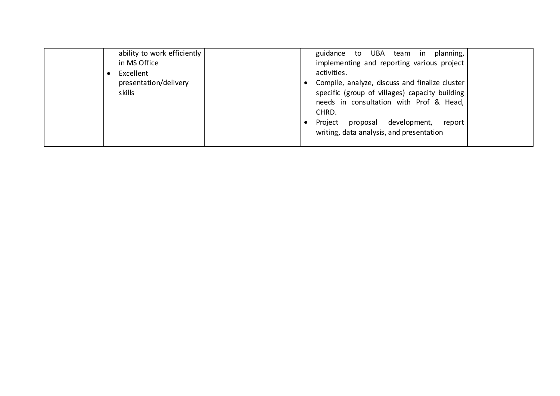| ability to work efficiently<br>in MS Office<br>Excellent<br>presentation/delivery<br>skills | planning,<br>UBA team in<br>guidance to<br>implementing and reporting various project<br>activities.<br>Compile, analyze, discuss and finalize cluster<br>specific (group of villages) capacity building<br>needs in consultation with Prof & Head,<br>CHRD.<br>Project<br>development,<br>proposal<br>report<br>writing, data analysis, and presentation |
|---------------------------------------------------------------------------------------------|-----------------------------------------------------------------------------------------------------------------------------------------------------------------------------------------------------------------------------------------------------------------------------------------------------------------------------------------------------------|
|---------------------------------------------------------------------------------------------|-----------------------------------------------------------------------------------------------------------------------------------------------------------------------------------------------------------------------------------------------------------------------------------------------------------------------------------------------------------|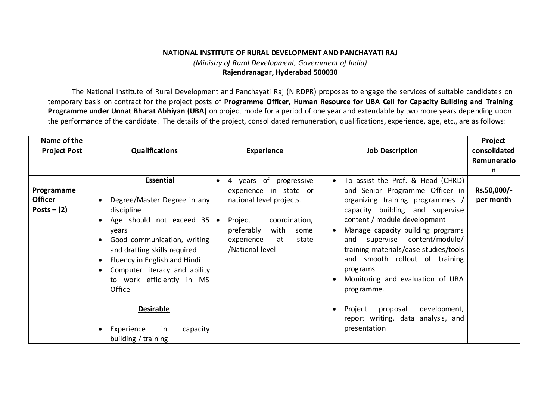## **NATIONAL INSTITUTE OF RURAL DEVELOPMENT AND PANCHAYATI RAJ** *(Ministry of Rural Development, Government of India)* **Rajendranagar, Hyderabad 500030**

The National Institute of Rural Development and Panchayati Raj (NIRDPR) proposes to engage the services of suitable candidates on temporary basis on contract for the project posts of **Programme Officer, Human Resource for UBA Cell for Capacity Building and Training Programme under Unnat Bharat Abhiyan (UBA)** on project mode for a period of one year and extendable by two more years depending upon the performance of the candidate. The details of the project, consolidated remuneration, qualifications, experience, age, etc., are as follows:

| Name of the<br><b>Project Post</b>            | <b>Qualifications</b>                                                                                                                                                                                                                                                                         | <b>Experience</b>                                                                                                                                                                                                | <b>Job Description</b>                                                                                                                                                                                                                                                                                                                                                                                                                                                  | Project<br>consolidated<br>Remuneratio<br>n |
|-----------------------------------------------|-----------------------------------------------------------------------------------------------------------------------------------------------------------------------------------------------------------------------------------------------------------------------------------------------|------------------------------------------------------------------------------------------------------------------------------------------------------------------------------------------------------------------|-------------------------------------------------------------------------------------------------------------------------------------------------------------------------------------------------------------------------------------------------------------------------------------------------------------------------------------------------------------------------------------------------------------------------------------------------------------------------|---------------------------------------------|
| Programame<br><b>Officer</b><br>Posts $-$ (2) | <b>Essential</b><br>Degree/Master Degree in any<br>discipline<br>Age should not exceed 35<br>years<br>Good communication, writing<br>and drafting skills required<br>Fluency in English and Hindi<br>Computer literacy and ability<br>to work efficiently in MS<br>Office<br><b>Desirable</b> | 4 years of progressive<br>$\bullet$<br>experience in state or<br>national level projects.<br>coordination,<br>Project<br>$\bullet$<br>with<br>preferably<br>some<br>experience<br>at<br>state<br>/National level | To assist the Prof. & Head (CHRD)<br>$\bullet$<br>and Senior Programme Officer in<br>organizing training programmes<br>capacity building and supervise<br>content / module development<br>Manage capacity building programs<br>and supervise content/module/<br>training materials/case studies/tools<br>and smooth rollout of training<br>prog rams<br>Monitoring and evaluation of UBA<br>$\bullet$<br>programme.<br>development,<br>Project<br>proposal<br>$\bullet$ | Rs.50,000/-<br>per month                    |
|                                               | Experience<br>in<br>capacity<br>building / training                                                                                                                                                                                                                                           |                                                                                                                                                                                                                  | report writing, data analysis, and<br>presentation                                                                                                                                                                                                                                                                                                                                                                                                                      |                                             |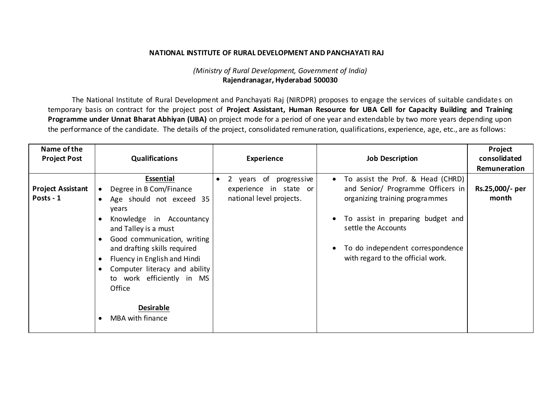#### **NATIONAL INSTITUTE OF RURAL DEVELOPMENT AND PANCHAYATI RAJ**

### *(Ministry of Rural Development, Government of India)* **Rajendranagar, Hyderabad 500030**

The National Institute of Rural Development and Panchayati Raj (NIRDPR) proposes to engage the services of suitable candidates on temporary basis on contract for the project post of **Project Assistant, Human Resource for UBA Cell for Capacity Building and Training Programme under Unnat Bharat Abhiyan (UBA)** on project mode for a period of one year and extendable by two more years depending upon the performance of the candidate. The details of the project, consolidated remuneration, qualifications, experience, age, etc., are as follows:

| Name of the<br><b>Project Post</b>    | <b>Qualifications</b>                                                                                                                                                                                                                                                                                                                                            | <b>Experience</b>                                                                            | <b>Job Description</b>                                                                                                                                                                                                                                     | Project<br>consolidated<br>Remuneration |
|---------------------------------------|------------------------------------------------------------------------------------------------------------------------------------------------------------------------------------------------------------------------------------------------------------------------------------------------------------------------------------------------------------------|----------------------------------------------------------------------------------------------|------------------------------------------------------------------------------------------------------------------------------------------------------------------------------------------------------------------------------------------------------------|-----------------------------------------|
| <b>Project Assistant</b><br>Posts - 1 | Essential<br>Degree in B Com/Finance<br>$\bullet$<br>Age should not exceed 35<br>years<br>Knowledge in Accountancy<br>and Talley is a must<br>Good communication, writing<br>and drafting skills required<br>Fluency in English and Hindi<br>Computer literacy and ability<br>to work efficiently in MS<br>Office<br><b>Desirable</b><br><b>MBA with finance</b> | 2 years of<br>progressive<br>$\bullet$<br>experience in state or<br>national level projects. | To assist the Prof. & Head (CHRD)<br>$\bullet$<br>and Senior/ Programme Officers in<br>organizing training programmes<br>To assist in preparing budget and<br>settle the Accounts<br>To do independent correspondence<br>with regard to the official work. | Rs.25,000/- per<br>month                |